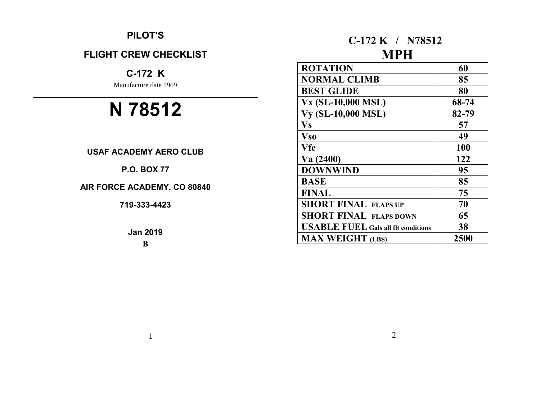## **PILOT'S**

## **FLIGHT CREW CHECKLIST**

# **C-172 K**

Manufacture date 1969

# **N 78512**

## **USAF ACADEMY AERO CLUB**

## **P.O. BOX 77**

## **AIR FORCE ACADEMY, CO 80840**

**719-333-4423**

**Jan 2019**

**B**

1

# **C-172 K / N78512 MPH**

| <b>ROTATION</b>                            | 60    |
|--------------------------------------------|-------|
| <b>NORMAL CLIMB</b>                        | 85    |
| <b>BEST GLIDE</b>                          | 80    |
| Vx (SL-10,000 MSL)                         | 68-74 |
| <b>Vy (SL-10,000 MSL)</b>                  | 82-79 |
| <b>Vs</b>                                  | 57    |
| <b>Vso</b>                                 | 49    |
| <b>Vfe</b>                                 | 100   |
| Va(2400)                                   | 122   |
| <b>DOWNWIND</b>                            | 95    |
| <b>BASE</b>                                | 85    |
| FINAL                                      | 75    |
| <b>SHORT FINAL FLAPS UP</b>                | 70    |
| <b>SHORT FINAL FLAPS DOWN</b>              | 65    |
| <b>USABLE FUEL Gals all flt conditions</b> | 38    |
| <b>MAX WEIGHT (LBS)</b>                    | 2500  |

2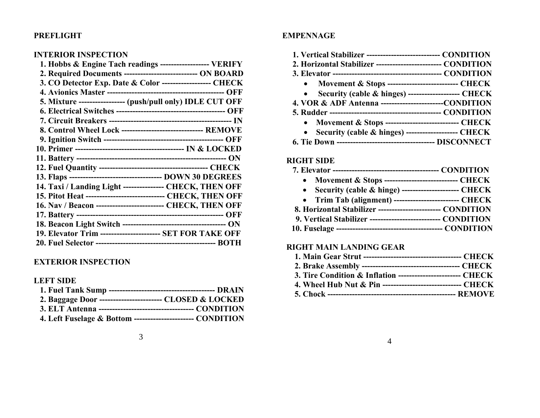## **PREFLIGHT**

## **INTERIOR INSPECTION**

| 1. Hobbs & Engine Tach readings ------------------- VERIFY   |
|--------------------------------------------------------------|
| 2. Required Documents ----------------------------- ON BOARD |
| 3. CO Detector Exp. Date & Color ------------------- CHECK   |
|                                                              |
| 5. Mixture ----------------- (push/pull only) IDLE CUT OFF   |
|                                                              |
|                                                              |
| 8. Control Wheel Lock ------------------------------- REMOVE |
|                                                              |
|                                                              |
|                                                              |
|                                                              |
|                                                              |
| 14. Taxi / Landing Light --------------- CHECK, THEN OFF     |
| 15. Pitot Heat ----------------------------- CHECK, THEN OFF |
| 16. Nav / Beacon -------------------------- CHECK, THEN OFF  |
|                                                              |
|                                                              |
| 19. Elevator Trim ---------------------- SET FOR TAKE OFF    |
|                                                              |
|                                                              |

## **EXTERIOR INSPECTION**

## **LEFT SIDE**

| 2. Baggage Door -------------------------- CLOSED & LOCKED  |  |
|-------------------------------------------------------------|--|
|                                                             |  |
| 4. Left Fuselage & Bottom ----------------------- CONDITION |  |

#### 3

#### **EMPENNAGE**

| 1. Vertical Stabilizer ---------------------------- CONDITION |  |
|---------------------------------------------------------------|--|
| 2. Horizontal Stabilizer ------------------------- CONDITION  |  |
|                                                               |  |
| • Movement & Stops ---------------------------- CHECK         |  |
| • Security (cable & hinges) -------------------- CHECK        |  |
| 4. VOR & ADF Antenna -------------------------CONDITION       |  |
|                                                               |  |
| • Movement & Stops ----------------------------- CHECK        |  |
| • Security (cable & hinges) -------------------- CHECK        |  |

 **6. Tie Down ------------------------------------ DISCONNECT**

## **RIGHT SIDE**

|--|--|

- **Movement & Stops --------------------------- CHECK**
- **Security (cable & hinge) --------------------- CHECK**
- **Trim Tab (alignment) ------------------------ CHECK**
- **8. Horizontal Stabilizer ----------------------- CONDITION 9. Vertical Stabilizer -------------------------- CONDITION**
- **10. Fuselage --------------------------------------- CONDITION**

#### **RIGHT MAIN LANDING GEAR**

|--|--|--|--|

- **2. Brake Assembly ------------------------------------ CHECK**
- **3. Tire Condition & Inflation ----------------------- CHECK**
- **4. Wheel Hub Nut & Pin ----------------------------- CHECK**
- **5. Chock ----------------------------------------------- REMOVE**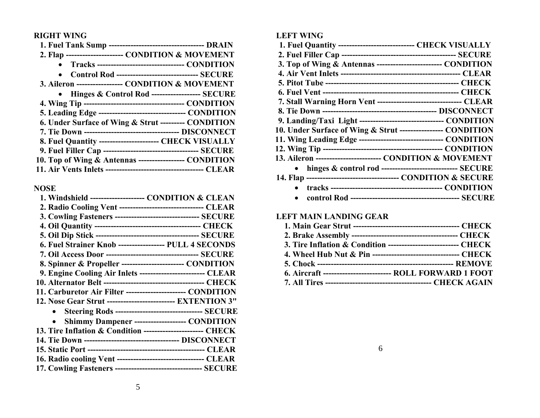## **RIGHT WING**

| 2. Flap ---------------------- CONDITION & MOVEMENT          |  |
|--------------------------------------------------------------|--|
| Tracks --------------------------------- CONDITION           |  |
| Control Rod ------------------------------- SECURE           |  |
| 3. Aileron ----------------- CONDITION & MOVEMENT            |  |
| • Hinges & Control Rod ------------------ SECURE             |  |
|                                                              |  |
| 5. Leading Edge ---------------------------------- CONDITION |  |
| 6. Under Surface of Wing & Strut --------- CONDITION         |  |
| 7. Tie Down ---------------------------------- DISCONNECT    |  |
| 8. Fuel Quantity ----------------------- CHECK VISUALLY      |  |
|                                                              |  |
| 10. Top of Wing & Antennas ----------------- CONDITION       |  |
|                                                              |  |

## **NOSE**

| 1. Windshield --------------------- CONDITION & CLEAN          |                                                               |
|----------------------------------------------------------------|---------------------------------------------------------------|
| 2. Radio Cooling Vent ------------------------------- CLEAR    |                                                               |
| 3. Cowling Fasteners --------------------------------- SECURE  |                                                               |
|                                                                |                                                               |
|                                                                |                                                               |
| 6. Fuel Strainer Knob ----------------- PULL 4 SECONDS         |                                                               |
|                                                                |                                                               |
| 8. Spinner & Propeller ------------------------ CONDITION      |                                                               |
| 9. Engine Cooling Air Inlets ------------------------- CLEAR   |                                                               |
|                                                                |                                                               |
| 11. Carburetor Air Filter ----------------------- CONDITION    |                                                               |
| 12. Nose Gear Strut ------------------------- EXTENTION 3"     |                                                               |
|                                                                | <b>Steering Rods --------------------------------- SECURE</b> |
|                                                                | Shimmy Dampener -------------------- CONDITION                |
| 13. Tire Inflation & Condition ----------------------- CHECK   |                                                               |
| 14. Tie Down ----------------------------------- DISCONNECT    |                                                               |
|                                                                |                                                               |
| 16. Radio cooling Vent --------------------------------- CLEAR |                                                               |
| 17. Cowling Fasteners --------------------------------- SECURE |                                                               |
|                                                                |                                                               |

## **LEFT WING**

| 1. Fuel Quantity ----------------------------- CHECK VISUALLY     |  |
|-------------------------------------------------------------------|--|
|                                                                   |  |
| 3. Top of Wing & Antennas ------------------------- CONDITION     |  |
|                                                                   |  |
|                                                                   |  |
|                                                                   |  |
| 7. Stall Warning Horn Vent -------------------------------- CLEAR |  |
|                                                                   |  |
| 9. Landing/Taxi Light -------------------------------- CONDITION  |  |
| 10. Under Surface of Wing & Strut ---------------- CONDITION      |  |
| 11. Wing Leading Edge --------------------------------- CONDITION |  |
|                                                                   |  |
| 13. Aileron ------------------------- CONDITION & MOVEMENT        |  |
| hinges & control rod ---------------------------- SECURE          |  |
|                                                                   |  |
|                                                                   |  |
|                                                                   |  |

## **LEFT MAIN LANDING GEAR**

| 3. Tire Inflation & Condition --------------------------- CHECK |
|-----------------------------------------------------------------|
| 4. Wheel Hub Nut & Pin ---------------------------------- CHECK |
|                                                                 |
| 6. Aircraft --------------------------- ROLL FORWARD 1 FOOT     |
|                                                                 |

6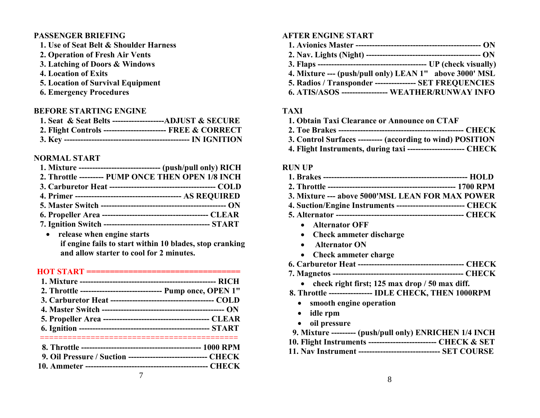## **PASSENGER BRIEFING**

- **1. Use of Seat Belt & Shoulder Harness**
- **2. Operation of Fresh Air Vents**
- **3. Latching of Doors & Windows**
- **4. Location of Exits**
- **5. Location of Survival Equipment**
- **6. Emergency Procedures**

## **BEFORE STARTING ENGINE**

| 1. Seat & Seat Belts ---------------------ADJUST & SECURE   |  |
|-------------------------------------------------------------|--|
| 2. Flight Controls ------------------------- FREE & CORRECT |  |
|                                                             |  |

## **NORMAL START**

| 1. Mixture ------------------------------- (push/pull only) RICH |
|------------------------------------------------------------------|
| 2. Throttle --------- PUMP ONCE THEN OPEN 1/8 INCH               |
|                                                                  |
|                                                                  |
|                                                                  |
|                                                                  |
|                                                                  |

 **release when engine starts if engine fails to start within 10 blades, stop cranking and allow starter to cool for 2 minutes.**

## **HOT START =================================**

| 2. Throttle ------------------------------    Pump once, OPEN 1" |  |
|------------------------------------------------------------------|--|
|                                                                  |  |
|                                                                  |  |
|                                                                  |  |
|                                                                  |  |
|                                                                  |  |
| 9. Oil Pressure / Suction ------------------------------ CHECK   |  |
|                                                                  |  |
|                                                                  |  |

## **AFTER ENGINE START**

- **1. Avionics Master ---------------------------------------------- ON**
- **2. Nav. Lights (Night) ------------------------------------------ ON**
- **3. Flaps ---------------------------------------- UP (check visually)**
- **4. Mixture --- (push/pull only) LEAN 1" above 3000' MSL**
- **5. Radios / Transponder --------------- SET FREQUENCIES**
- **6. ATIS/ASOS ----------------- WEATHER/RUNWAY INFO**

## **TAXI**

- **1. Obtain Taxi Clearance or Announce on CTAF**
- **2. Toe Brakes ---------------------------------------------- CHECK**
- **3. Control Surfaces --------- (according to wind) POSITION**
- **4. Flight Instruments, during taxi --------------------- CHECK**

## **RUN UP**

- **1. Brakes ----------------------------------------------------- HOLD**
- **2. Throttle ----------------------------------------------- 1700 RPM**
- **3. Mixture --- above 5000'MSL LEAN FOR MAX POWER**
- **4. Suction/Engine Instruments ------------------------- CHECK**
- **5. Alternator ----------------------------------------------- CHECK**
	- **Alternator OFF**
	- **Check ammeter discharge**
	- **Alternator ON**
	- **Check ammeter charge**
- **6. Carburetor Heat --------------------------------------- CHECK**
- **7. Magnetos ------------------------------------------------ CHECK**
	- **check right first; 125 max drop / 50 max diff.**
- **8. Throttle ---------------- IDLE CHECK, THEN 1000RPM**
	- **smooth engine operation**
	- **idle rpm**
	- **oil pressure**
- **9. Mixture --------- (push/pull only) ENRICHEN 1/4 INCH**
- **10. Flight Instruments ------------------------- CHECK & SET**
- **11. Nav Instrument ------------------------------ SET COURSE**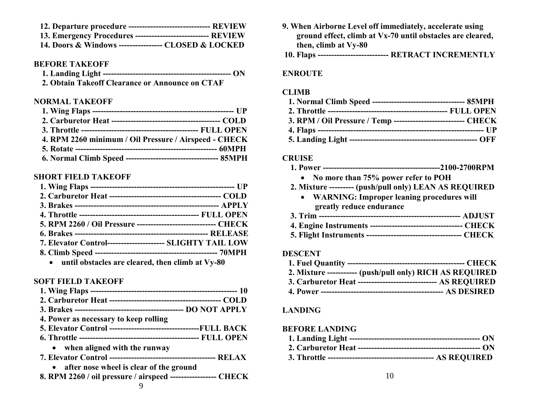- **12. Departure procedure ------------------------------ REVIEW**
- **13. Emergency Procedures --------------------------- REVIEW**
- **14. Doors & Windows ---------------- CLOSED & LOCKED**

#### **BEFORE TAKEOFF**

| $\Lambda$ Oliver Tile of Clerges in American compact $\Gamma$ |  |
|---------------------------------------------------------------|--|

**2. Obtain Takeoff Clearance or Announce on CTAF**

#### **NORMAL TAKEOFF**

| 4. RPM 2260 minimum / Oil Pressure / Airspeed - CHECK |  |
|-------------------------------------------------------|--|
|                                                       |  |
|                                                       |  |

#### **SHORT FIELD TAKEOFF**

| 5. RPM 2260 / Oil Pressure ------------------------------ CHECK |  |
|-----------------------------------------------------------------|--|
|                                                                 |  |
| 7. Elevator Control--------------------- SLIGHTY TAIL LOW       |  |
|                                                                 |  |
| a until abetasles que cleaved then climb of V-x 00              |  |

**until obstacles are cleared, then climb at Vy-80**

#### **SOFT FIELD TAKEOFF**

| 4. Power as necessary to keep rolling                                  |  |
|------------------------------------------------------------------------|--|
| <b>5. Elevator Control ----------------------------------FULL BACK</b> |  |
|                                                                        |  |
| • when aligned with the runway                                         |  |
|                                                                        |  |
| • after nose wheel is clear of the ground                              |  |
| 8. RPM 2260 / oil pressure / airspeed ------------------ CHECK         |  |

- **9. When Airborne Level off immediately, accelerate using ground effect, climb at Vx-70 until obstacles are cleared, then, climb at Vy-80**
- **10. Flaps -------------------------- RETRACT INCREMENTLY**

#### **ENROUTE**

#### **CLIMB**

| 3. RPM / Oil Pressure / Temp --------------------------- CHECK |  |
|----------------------------------------------------------------|--|
|                                                                |  |
|                                                                |  |

#### **CRUISE**

#### **1. Power -------------------------------------------2100-2700RPM**

- **No more than 75% power refer to POH**
- **2. Mixture --------- (push/pull only) LEAN AS REQUIRED**
	- **WARNING: Improper leaning procedures will greatly reduce endurance**
- **3. Trim ---------------------------------------------------- ADJUST**
- **4. Engine Instruments ---------------------------------- CHECK**
- **5. Flight Instruments ----------------------------------- CHECK**

#### **DESCENT**

| 2. Mixture ------------ (push/pull only) RICH AS REQUIRED      |  |
|----------------------------------------------------------------|--|
| 3. Carburetor Heat ------------------------------- AS REQUIRED |  |

 **4. Power --------------------------------------------- AS DESIRED**

## **LANDING**

## **BEFORE LANDING**

- **1. Landing Light ------------------------------------------------ ON**
- **2. Carburetor Heat --------------------------------------------- ON**
- **3. Throttle --------------------------------------- AS REQUIRED**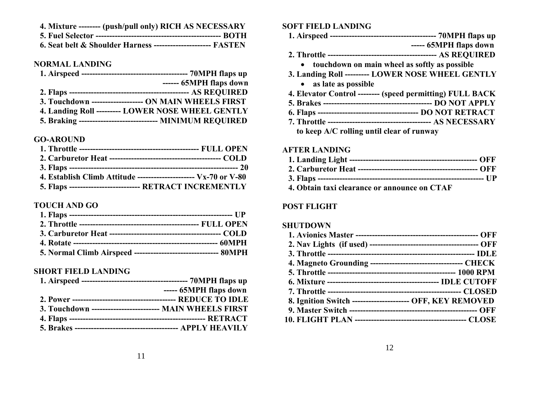| 4. Mixture -------- (push/pull only) RICH AS NECESSARY        |  |
|---------------------------------------------------------------|--|
|                                                               |  |
| 6. Seat belt & Shoulder Harness ---------------------- FASTEN |  |

#### **NORMAL LANDING**

| ------ 65MPH flaps down                                   |
|-----------------------------------------------------------|
|                                                           |
| 3. Touchdown ------------------- ON MAIN WHEELS FIRST     |
| 4. Landing Roll --------- LOWER NOSE WHEEL GENTLY         |
| 5. Braking ----------------------------- MINIMUM REQUIRED |

#### **GO-AROUND**

| 4. Establish Climb Attitude ----------------------- $Vx-70$ or V-80 |
|---------------------------------------------------------------------|
| 5. Flaps -------------------------- RETRACT INCREMENTLY             |

## **TOUCH AND GO**

#### **SHORT FIELD LANDING**

|                                                          | ----- 65MPH flaps down |
|----------------------------------------------------------|------------------------|
|                                                          |                        |
| 3. Touchdown ------------------------- MAIN WHEELS FIRST |                        |
|                                                          |                        |
|                                                          |                        |

## **SOFT FIELD LANDING**

- **1. Airspeed --------------------------------------- 70MPH flaps up**
- **----- 65MPH flaps down**
- **2. Throttle ---------------------------------------- AS REQUIRED**
	- **touchdown on main wheel as softly as possible**
- **3. Landing Roll --------- LOWER NOSE WHEEL GENTLY**
	- **as late as possible**
- **4. Elevator Control -------- (speed permitting) FULL BACK**
- **5. Brakes ---------------------------------------- DO NOT APPLY**
- **6. Flaps ------------------------------------- DO NOT RETRACT**
- **7. Throttle -------------------------------------- AS NECESSARY**

 **to keep A/C rolling until clear of runway**

## **AFTER LANDING**

- **1. Landing Light ----------------------------------------------- OFF**
- **2. Carburetor Heat -------------------------------------------- OFF**
- **3. Flaps ------------------------------------------------------------- UP**
- **4. Obtain taxi clearance or announce on CTAF**

## **POST FLIGHT**

## **SHUTDOWN**

| 4. Magneto Grounding ----------------------------------- CHECK |  |
|----------------------------------------------------------------|--|
|                                                                |  |
|                                                                |  |
|                                                                |  |
| 8. Ignition Switch ---------------------- OFF, KEY REMOVED     |  |
|                                                                |  |
|                                                                |  |
|                                                                |  |